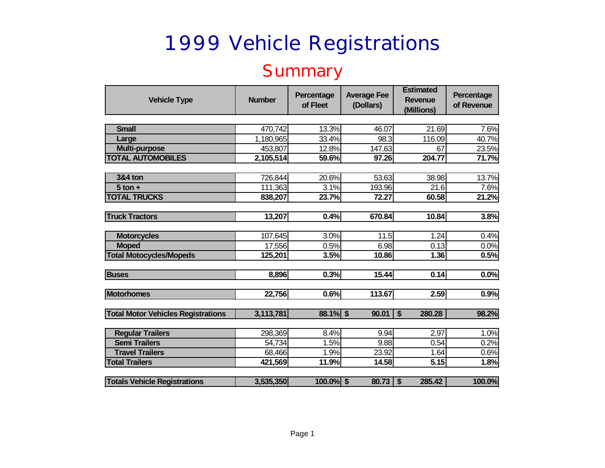#### **Summary**

| <b>Vehicle Type</b>                       | <b>Number</b> | Percentage<br>of Fleet | <b>Average Fee</b><br>(Dollars) | <b>Estimated</b><br><b>Revenue</b><br>(Millions) | Percentage<br>of Revenue |
|-------------------------------------------|---------------|------------------------|---------------------------------|--------------------------------------------------|--------------------------|
|                                           |               |                        |                                 |                                                  |                          |
| <b>Small</b>                              | 470,742       | 13.3%                  | 46.07                           | 21.69                                            | 7.6%                     |
| Large                                     | 1,180,965     | 33.4%                  | 98.3                            | 116.09                                           | 40.7%                    |
| <b>Multi-purpose</b>                      | 453,807       | 12.8%                  | 147.63                          | 67                                               | 23.5%                    |
| <b>TOTAL AUTOMOBILES</b>                  | 2,105,514     | 59.6%                  | 97.26                           | 204.77                                           | 71.7%                    |
|                                           |               |                        |                                 |                                                  |                          |
| <b>3&amp;4 ton</b>                        | 726,844       | 20.6%                  | 53.63                           | 38.98                                            | 13.7%                    |
| $5$ ton $+$                               | 111,363       | 3.1%                   | 193.96                          | 21.6                                             | 7.6%                     |
| <b>TOTAL TRUCKS</b>                       | 838,207       | 23.7%                  | 72.27                           | 60.58                                            | 21.2%                    |
|                                           |               |                        |                                 |                                                  |                          |
| <b>Truck Tractors</b>                     | 13,207        | 0.4%                   | 670.84                          | 10.84                                            | 3.8%                     |
|                                           |               |                        |                                 |                                                  |                          |
| <b>Motorcycles</b>                        | 107,645       | 3.0%                   | 11.5                            | 1.24                                             | 0.4%                     |
| <b>Moped</b>                              | 17,556        | 0.5%                   | 6.98                            | 0.13                                             | 0.0%                     |
| <b>Total Motocycles/Mopeds</b>            | 125,201       | 3.5%                   | 10.86                           | 1.36                                             | 0.5%                     |
|                                           |               |                        |                                 |                                                  |                          |
| <b>Buses</b>                              | 8,896         | 0.3%                   | 15.44                           | 0.14                                             | 0.0%                     |
|                                           |               |                        |                                 |                                                  |                          |
| <b>Motorhomes</b>                         | 22,756        | 0.6%                   | 113.67                          | 2.59                                             | 0.9%                     |
|                                           |               |                        |                                 |                                                  |                          |
| <b>Total Motor Vehicles Registrations</b> | 3,113,781     | 88.1% \$               | 90.01                           | $\boldsymbol{\mathsf{s}}$<br>280.28              | 98.2%                    |
|                                           |               |                        |                                 |                                                  |                          |
| <b>Regular Trailers</b>                   | 298,369       | 8.4%                   | 9.94                            | 2.97                                             | 1.0%                     |
| <b>Semi Trailers</b>                      | 54,734        | 1.5%                   | 9.88                            | 0.54                                             | 0.2%                     |
| <b>Travel Trailers</b>                    | 68,466        | 1.9%                   | 23.92                           | 1.64                                             | 0.6%                     |
| <b>Total Trailers</b>                     | 421,569       | 11.9%                  | 14.58                           | 5.15                                             | 1.8%                     |
|                                           |               |                        |                                 |                                                  |                          |
| <b>Totals Vehicle Registrations</b>       | 3,535,350     | $100.0\%$ \$           | 80.73                           | $\sqrt{2}$<br>285.42                             | 100.0%                   |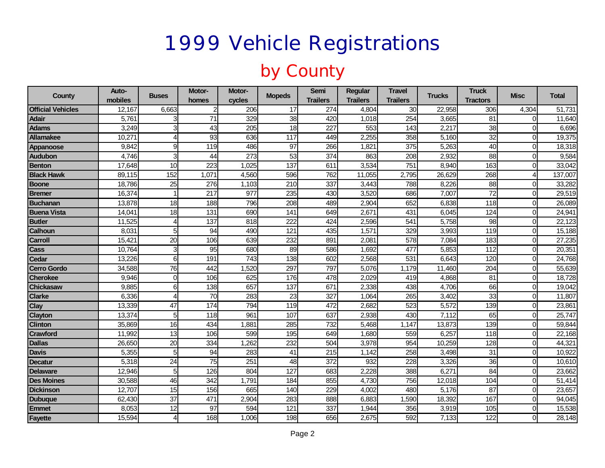### by County

| County                   | Auto-<br>mobiles | <b>Buses</b>    | Motor-<br>homes | Motor-<br>cycles | <b>Mopeds</b>    | <b>Semi</b><br><b>Trailers</b> | <b>Regular</b><br><b>Trailers</b> | <b>Travel</b><br><b>Trailers</b> | <b>Trucks</b> | <b>Truck</b><br><b>Tractors</b> | Misc     | Total   |
|--------------------------|------------------|-----------------|-----------------|------------------|------------------|--------------------------------|-----------------------------------|----------------------------------|---------------|---------------------------------|----------|---------|
| <b>Official Vehicles</b> | 12,167           | 6,663           | $\overline{2}$  | 206              | 17               | 274                            | 4,804                             | 30                               | 22,958        | 306                             | 4,304    | 51,731  |
| <b>Adair</b>             | 5,761            |                 | $\overline{71}$ | 329              | 38               | 420                            | 1,018                             | 254                              | 3,665         | 81                              |          | 11,640  |
| <b>Adams</b>             | 3,249            | 3               | 43              | 205              | 18               | 227                            | 553                               | 143                              | 2,217         | 38                              |          | 6,696   |
| <b>Allamakee</b>         | 10,271           | 4               | 93              | 636              | 117              | 449                            | 2,255                             | 358                              | 5,160         | 32                              |          | 19,375  |
| <b>Appanoose</b>         | 9,842            | 9               | 119             | 486              | $\overline{97}$  | 266                            | 1,821                             | 375                              | 5,263         | 40                              | ∩        | 18,318  |
| <b>Audubon</b>           | 4,746            | 3               | 44              | 273              | 53               | 374                            | 863                               | 208                              | 2,932         | 88                              | ∩        | 9,584   |
| <b>Benton</b>            | 17,648           | 10              | 223             | 1,025            | $\frac{1}{137}$  | 611                            | 3,534                             | 751                              | 8,940         | 163                             | ∩        | 33,042  |
| <b>Black Hawk</b>        | 89,115           | 152             | 1,071           | 4,560            | 596              | 762                            | 11,055                            | 2,795                            | 26,629        | 268                             |          | 137,007 |
| <b>Boone</b>             | 18,786           | 25              | 276             | 1,103            | 210              | 337                            | 3,443                             | 788                              | 8,226         | 88                              | ∩        | 33,282  |
| <b>Bremer</b>            | 16,374           |                 | 217             | 977              | 235              | 430                            | 3,520                             | 686                              | 7,007         | 72                              |          | 29,519  |
| <b>Buchanan</b>          | 13,878           | 18              | 188             | 796              | 208              | 489                            | 2,904                             | 652                              | 6,838         | 118                             |          | 26,089  |
| <b>Buena Vista</b>       | 14,041           | 18              | 131             | 690              | 141              | 649                            | 2,671                             | 431                              | 6,045         | 124                             |          | 24,941  |
| <b>Butler</b>            | 11,525           | Δ               | 137             | 818              | 222              | 424                            | 2,596                             | 541                              | 5,758         | 98                              |          | 22,123  |
| <b>Calhoun</b>           | 8,031            | 5               | 94              | 490              | $\overline{121}$ | 435                            | 1,571                             | 329                              | 3,993         | 119                             | ∩        | 15,188  |
| <b>Carroll</b>           | 15,421           | 20              | 106             | 639              | 232              | 891                            | 2,081                             | 578                              | 7,084         | 183                             | $\Omega$ | 27,235  |
| <b>Cass</b>              | 10,764           | 3               | 95              | 680              | 89               | 586                            | 1,692                             | 477                              | 5,853         | 112                             | ∩        | 20,351  |
| Cedar                    | 13,226           | 6               | 191             | 743              | 138              | 602                            | 2,568                             | 531                              | 6,643         | 120                             | ∩        | 24,768  |
| <b>Cerro Gordo</b>       | 34,588           | 76              | 442             | ,520             | 297              | 797                            | 5,076                             | 1,179                            | 11,460        | 204                             |          | 55,639  |
| <b>Cherokee</b>          | 9,946            | $\Omega$        | 106             | 625              | 176              | 478                            | 2,029                             | 419                              | 4,868         | 81                              | U        | 18,728  |
| <b>Chickasaw</b>         | 9,885            | 6               | 138             | 657              | 137              | 671                            | 2,338                             | 438                              | 4,706         | 66                              | ∩        | 19,042  |
| <b>Clarke</b>            | 6,336            | 4               | $\overline{70}$ | 283              | $\overline{23}$  | 327                            | 1,064                             | 265                              | 3,402         | 33                              | U        | 11,807  |
| <b>Clay</b>              | 13,339           | $\overline{47}$ | 174             | 794              | 119              | 472                            | 2,682                             | 523                              | 5,572         | 139                             | O        | 23,861  |
| <b>Clayton</b>           | 13,374           | 5               | 118             | 961              | 107              | 637                            | 2,938                             | 430                              | 7,112         | 65                              | ∩        | 25,747  |
| <b>Clinton</b>           | 35,869           | 16              | 434             | 1,881            | 285              | 732                            | 5,468                             | 1,147                            | 13,873        | 139                             | ∩        | 59,844  |
| <b>Crawford</b>          | 11,992           | $\overline{13}$ | 106             | 599              | 195              | 649                            | 1,680                             | 559                              | 6,257         | 118                             | ∩        | 22,168  |
| <b>Dallas</b>            | 26,650           | 20              | 334             | 1,262            | 232              | 504                            | 3,978                             | 954                              | 10,259        | 128                             | U        | 44,321  |
| <b>Davis</b>             | 5,355            | 5               | 94              | 283              | 41               | 215                            | 1,142                             | 258                              | 3,498         | 31                              | $\Omega$ | 10,922  |
| <b>Decatur</b>           | 5,318            | 24              | 75              | 251              | $\overline{48}$  | 372                            | 932                               | 228                              | 3,326         | 36                              | $\Omega$ | 10,610  |
| <b>Delaware</b>          | 12,946           | 5               | 126             | 804              | 127              | 683                            | 2,228                             | 388                              | 6,271         | 84                              | $\Omega$ | 23,662  |
| <b>Des Moines</b>        | 30,588           | 46              | 342             | 1,791            | 184              | 855                            | 4,730                             | 756                              | 12,018        | 104                             | ∩        | 51,414  |
| Dickinson                | 12,707           | 15              | 156             | 665              | 140              | 229                            | 4,002                             | 480                              | 5,176         | 87                              |          | 23,657  |
| <b>Dubuque</b>           | 62,430           | $\overline{37}$ | 471             | 2,904            | 283              | 888                            | 6,883                             | 1,590                            | 18,392        | 167                             | ∩        | 94,045  |
| <b>Emmet</b>             | 8,053            | 12              | 97              | 594              | 121              | 337                            | 1,944                             | 356                              | 3,919         | 105                             | $\Omega$ | 15,538  |
| Fayette                  | 15,594           | $\overline{4}$  | 168             | 1,006            | 198              | 656                            | 2,675                             | 592                              | 7,133         | 122                             |          | 28,148  |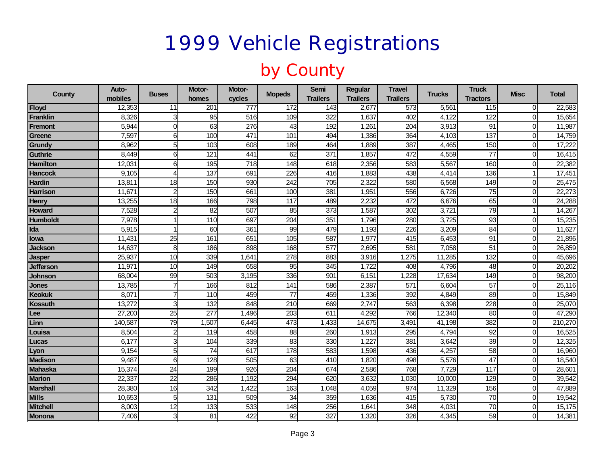#### by County

| County           | Auto-<br>mobiles | <b>Buses</b>            | Motor-<br>homes | Motor-<br>cycles | <b>Mopeds</b>    | <b>Semi</b><br><b>Trailers</b> | <b>Regular</b><br><b>Trailers</b> | <b>Travel</b><br><b>Trailers</b> | <b>Trucks</b> | <b>Truck</b><br><b>Tractors</b> | <b>Misc</b>  | <b>Total</b> |
|------------------|------------------|-------------------------|-----------------|------------------|------------------|--------------------------------|-----------------------------------|----------------------------------|---------------|---------------------------------|--------------|--------------|
| Floyd            | 12,353           | 11                      | 201             | $\overline{777}$ | 172              | $\overline{143}$               | 2,677                             | 573                              | 5,561         | 115                             | $\Omega$     | 22,583       |
| Franklin         | 8,326            | 3                       | 95              | 516              | 109              | 322                            | 1,637                             | 402                              | 4,122         | 122                             |              | 15,654       |
| Fremont          | 5,944            | 0                       | 63              | 276              | 43               | 192                            | 1,261                             | 204                              | 3,913         | 91                              |              | 11,987       |
| Greene           | 7,597            | 6                       | 100             | 471              | 101              | 494                            | 1,386                             | 364                              | 4,103         | 137                             | $\Omega$     | 14,759       |
| Grundy           | 8,962            | 5                       | 103             | 608              | 189              | 464                            | 1,889                             | 387                              | 4,465         | 150                             | <sup>0</sup> | 17,222       |
| <b>Guthrie</b>   | 8,449            | 6                       | 121             | 441              | 62               | $\overline{371}$               | 1,857                             | 472                              | 4,559         | $\overline{77}$                 | $\Omega$     | 16,415       |
| <b>Hamilton</b>  | 12,031           | 6                       | 195             | 718              | 148              | 618                            | 2,356                             | 583                              | 5,567         | 160                             |              | 22,382       |
| <b>Hancock</b>   | 9,105            | 4                       | 137             | 691              | 226              | 416                            | 1,883                             | 438                              | 4,414         | 136                             |              | 17,451       |
| <b>Hardin</b>    | 13,811           | 18                      | 150             | 930              | 242              | 705                            | 2,322                             | 580                              | 6,568         | 149                             | ∩            | 25,475       |
| <b>Harrison</b>  | 11,671           | $\overline{c}$          | 150             | 661              | 100              | 381                            | 1,951                             | 556                              | 6,726         | 75                              |              | 22,273       |
| <b>Henry</b>     | 13,255           | 18                      | 166             | 798              | 117              | 489                            | 2,232                             | 472                              | 6,676         | 65                              |              | 24,288       |
| <b>Howard</b>    | 7,528            | $\overline{c}$          | 82              | 507              | 85               | 373                            | 1,587                             | 302                              | 3,721         | $\overline{79}$                 |              | 14,267       |
| <b>Humboldt</b>  | 7,978            |                         | 110             | 697              | 204              | 351                            | 1,796                             | 280                              | 3,725         | 93                              |              | 15,235       |
| Ida              | 5,915            |                         | 60              | 361              | 99               | 479                            | 1,193                             | 226                              | 3,209         | 84                              |              | 11,627       |
| <b>lowa</b>      | 11,431           | 25                      | 161             | 651              | 105              | 587                            | 1,977                             | 415                              | 6,453         | 91                              |              | 21,896       |
| Jackson          | 14,637           | 8                       | 186             | 898              | 168              | 577                            | 2,695                             | 581                              | 7,058         | 51                              |              | 26,859       |
| Jasper           | 25,937           | $\overline{10}$         | 339             | 1,641            | 278              | 883                            | 3,916                             | 1,275                            | 11,285        | 132                             |              | 45,696       |
| <b>Jefferson</b> | 11,971           | 10                      | 149             | 658              | 95               | 345                            | 1,722                             | 408                              | 4,796         | 48                              |              | 20,202       |
| Johnson          | 68,004           | 99                      | 503             | 3,195            | 336              | 901                            | 6,151                             | 1,228                            | 17,634        | 149                             | $\Omega$     | 98,200       |
| <b>Jones</b>     | 13,785           | $\overline{7}$          | 166             | 812              | 141              | 586                            | 2,387                             | $\overline{571}$                 | 6,604         | 57                              | $\Omega$     | 25,116       |
| <b>Keokuk</b>    | 8,071            | $\overline{7}$          | 110             | 459              | 77               | 459                            | 1,336                             | 392                              | 4,849         | 89                              | $\Omega$     | 15,849       |
| Kossuth          | 13,272           | 3                       | 132             | 848              | $\overline{210}$ | 669                            | 2,747                             | 563                              | 6,398         | 228                             |              | 25,070       |
| Lee              | 27,200           | $\overline{25}$         | 277             | 1,496            | $\overline{203}$ | 611                            | 4,292                             | 766                              | 12,340        | $\overline{80}$                 | $\Omega$     | 47,290       |
| Linn             | 140,587          | 79                      | 1,507           | 6,445            | 473              | 1,433                          | 14,675                            | 3,491                            | 41,198        | 382                             | $\Omega$     | 210,270      |
| Louisa           | 8,504            | $\overline{c}$          | 119             | 458              | 88               | 260                            | 1,913                             | 295                              | 4,794         | 92                              |              | 16,525       |
| Lucas            | 6,177            | 3                       | 104             | 339              | 83               | 330                            | 1,227                             | 381                              | 3,642         | 39                              | $\Omega$     | 12,325       |
| Lyon             | 9,154            | 5                       | 74              | 617              | 178              | 583                            | 1,598                             | 436                              | 4,257         | 58                              | $\Omega$     | 16,960       |
| <b>Madison</b>   | 9,487            | 6                       | 128             | 505              | 63               | 410                            | 1,820                             | 498                              | 5,576         | 47                              |              | 18,540       |
| Mahaska          | 15,374           | 24                      | 199             | 926              | 204              | 674                            | 2,586                             | 768                              | 7,729         | 117                             |              | 28,601       |
| <b>Marion</b>    | 22,337           | $\overline{22}$         | 286             | 1,192            | 294              | 620                            | 3,632                             | 1,030                            | 10,000        | 129                             |              | 39,542       |
| <b>Marshall</b>  | 28,380           | 16                      | 342             | 1,422            | 163              | 1,048                          | 4,059                             | 974                              | 11,329        | 156                             | ∩            | 47,889       |
| <b>Mills</b>     | 10,653           | 5                       | 131             | 509              | 34               | 359                            | 1,636                             | 415                              | 5,730         | 70                              | $\Omega$     | 19,542       |
| <b>Mitchell</b>  | 8,003            | 12                      | 133             | 533              | 148              | 256                            | 1,641                             | 348                              | 4,031         | $\overline{70}$                 | $\Omega$     | 15,175       |
| Monona           | 7,406            | $\overline{\mathbf{3}}$ | 81              | 422              | 92               | 327                            | 1,320                             | 326                              | 4,345         | 59                              |              | 14,381       |